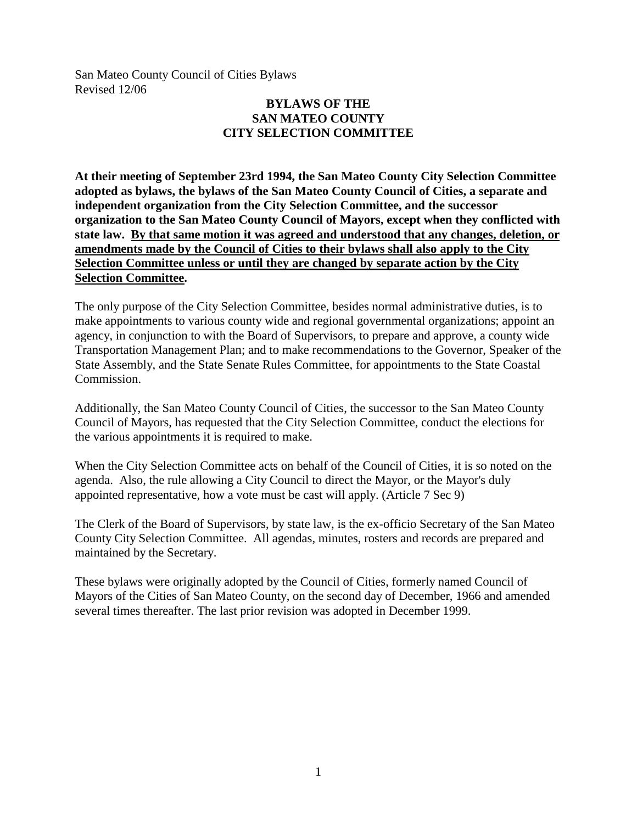San Mateo County Council of Cities Bylaws Revised 12/06

# **BYLAWS OF THE SAN MATEO COUNTY CITY SELECTION COMMITTEE**

**At their meeting of September 23rd 1994, the San Mateo County City Selection Committee adopted as bylaws, the bylaws of the San Mateo County Council of Cities, a separate and independent organization from the City Selection Committee, and the successor organization to the San Mateo County Council of Mayors, except when they conflicted with state law. By that same motion it was agreed and understood that any changes, deletion, or amendments made by the Council of Cities to their bylaws shall also apply to the City Selection Committee unless or until they are changed by separate action by the City Selection Committee.**

The only purpose of the City Selection Committee, besides normal administrative duties, is to make appointments to various county wide and regional governmental organizations; appoint an agency, in conjunction to with the Board of Supervisors, to prepare and approve, a county wide Transportation Management Plan; and to make recommendations to the Governor, Speaker of the State Assembly, and the State Senate Rules Committee, for appointments to the State Coastal Commission.

Additionally, the San Mateo County Council of Cities, the successor to the San Mateo County Council of Mayors, has requested that the City Selection Committee, conduct the elections for the various appointments it is required to make.

When the City Selection Committee acts on behalf of the Council of Cities, it is so noted on the agenda. Also, the rule allowing a City Council to direct the Mayor, or the Mayor's duly appointed representative, how a vote must be cast will apply. (Article 7 Sec 9)

The Clerk of the Board of Supervisors, by state law, is the ex-officio Secretary of the San Mateo County City Selection Committee. All agendas, minutes, rosters and records are prepared and maintained by the Secretary.

These bylaws were originally adopted by the Council of Cities, formerly named Council of Mayors of the Cities of San Mateo County, on the second day of December, 1966 and amended several times thereafter. The last prior revision was adopted in December 1999.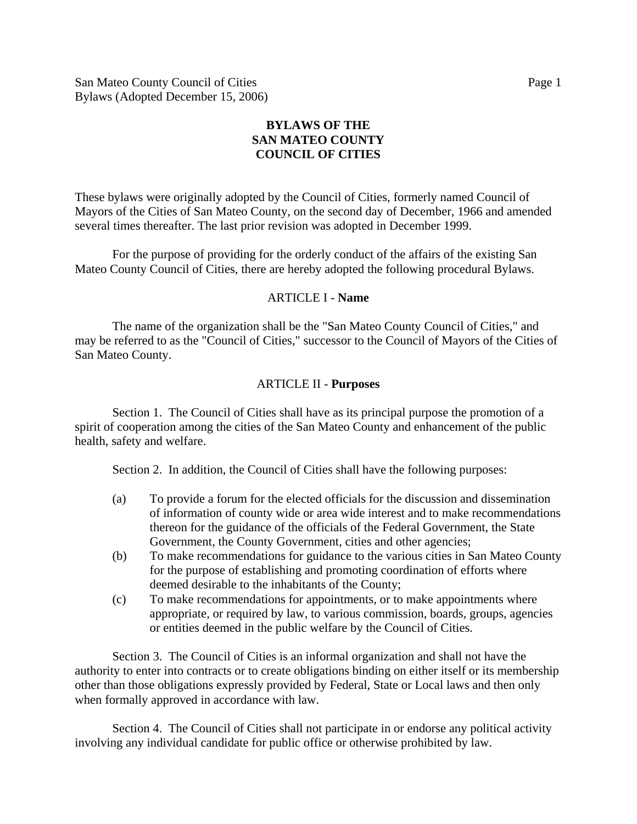San Mateo County Council of Cities Page 1 Bylaws (Adopted December 15, 2006)

# **BYLAWS OF THE SAN MATEO COUNTY COUNCIL OF CITIES**

These bylaws were originally adopted by the Council of Cities, formerly named Council of Mayors of the Cities of San Mateo County, on the second day of December, 1966 and amended several times thereafter. The last prior revision was adopted in December 1999.

 For the purpose of providing for the orderly conduct of the affairs of the existing San Mateo County Council of Cities, there are hereby adopted the following procedural Bylaws.

### ARTICLE I - **Name**

 The name of the organization shall be the "San Mateo County Council of Cities," and may be referred to as the "Council of Cities," successor to the Council of Mayors of the Cities of San Mateo County.

### ARTICLE II - **Purposes**

 Section 1. The Council of Cities shall have as its principal purpose the promotion of a spirit of cooperation among the cities of the San Mateo County and enhancement of the public health, safety and welfare.

Section 2. In addition, the Council of Cities shall have the following purposes:

- (a) To provide a forum for the elected officials for the discussion and dissemination of information of county wide or area wide interest and to make recommendations thereon for the guidance of the officials of the Federal Government, the State Government, the County Government, cities and other agencies;
- (b) To make recommendations for guidance to the various cities in San Mateo County for the purpose of establishing and promoting coordination of efforts where deemed desirable to the inhabitants of the County;
- (c) To make recommendations for appointments, or to make appointments where appropriate, or required by law, to various commission, boards, groups, agencies or entities deemed in the public welfare by the Council of Cities.

 Section 3. The Council of Cities is an informal organization and shall not have the authority to enter into contracts or to create obligations binding on either itself or its membership other than those obligations expressly provided by Federal, State or Local laws and then only when formally approved in accordance with law.

 Section 4. The Council of Cities shall not participate in or endorse any political activity involving any individual candidate for public office or otherwise prohibited by law.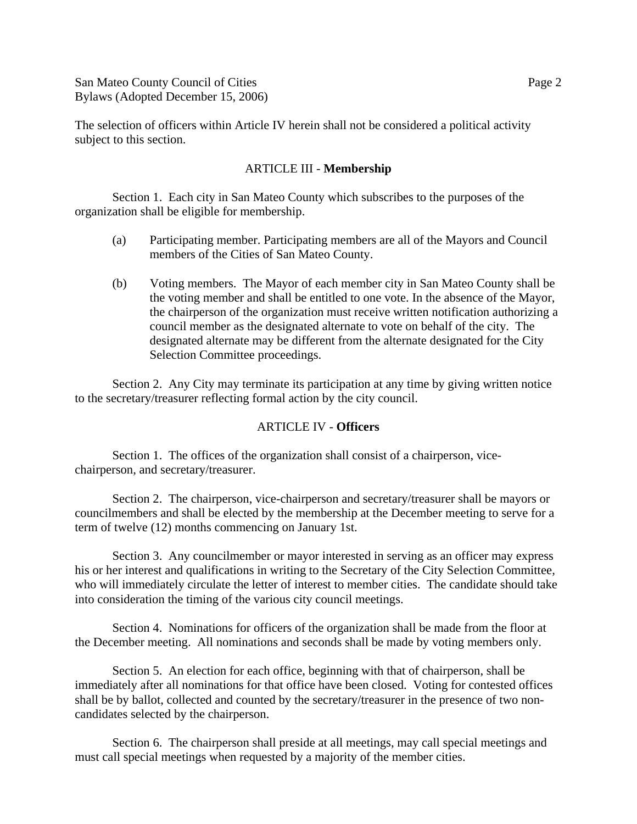San Mateo County Council of Cities **Page 2** Page 2 Bylaws (Adopted December 15, 2006)

The selection of officers within Article IV herein shall not be considered a political activity subject to this section.

#### ARTICLE III - **Membership**

 Section 1. Each city in San Mateo County which subscribes to the purposes of the organization shall be eligible for membership.

- (a) Participating member. Participating members are all of the Mayors and Council members of the Cities of San Mateo County.
- (b) Voting members. The Mayor of each member city in San Mateo County shall be the voting member and shall be entitled to one vote. In the absence of the Mayor, the chairperson of the organization must receive written notification authorizing a council member as the designated alternate to vote on behalf of the city. The designated alternate may be different from the alternate designated for the City Selection Committee proceedings.

Section 2. Any City may terminate its participation at any time by giving written notice to the secretary/treasurer reflecting formal action by the city council.

#### ARTICLE IV - **Officers**

 Section 1. The offices of the organization shall consist of a chairperson, vicechairperson, and secretary/treasurer.

 Section 2. The chairperson, vice-chairperson and secretary/treasurer shall be mayors or councilmembers and shall be elected by the membership at the December meeting to serve for a term of twelve (12) months commencing on January 1st.

 Section 3. Any councilmember or mayor interested in serving as an officer may express his or her interest and qualifications in writing to the Secretary of the City Selection Committee, who will immediately circulate the letter of interest to member cities. The candidate should take into consideration the timing of the various city council meetings.

 Section 4. Nominations for officers of the organization shall be made from the floor at the December meeting. All nominations and seconds shall be made by voting members only.

 Section 5. An election for each office, beginning with that of chairperson, shall be immediately after all nominations for that office have been closed. Voting for contested offices shall be by ballot, collected and counted by the secretary/treasurer in the presence of two noncandidates selected by the chairperson.

 Section 6. The chairperson shall preside at all meetings, may call special meetings and must call special meetings when requested by a majority of the member cities.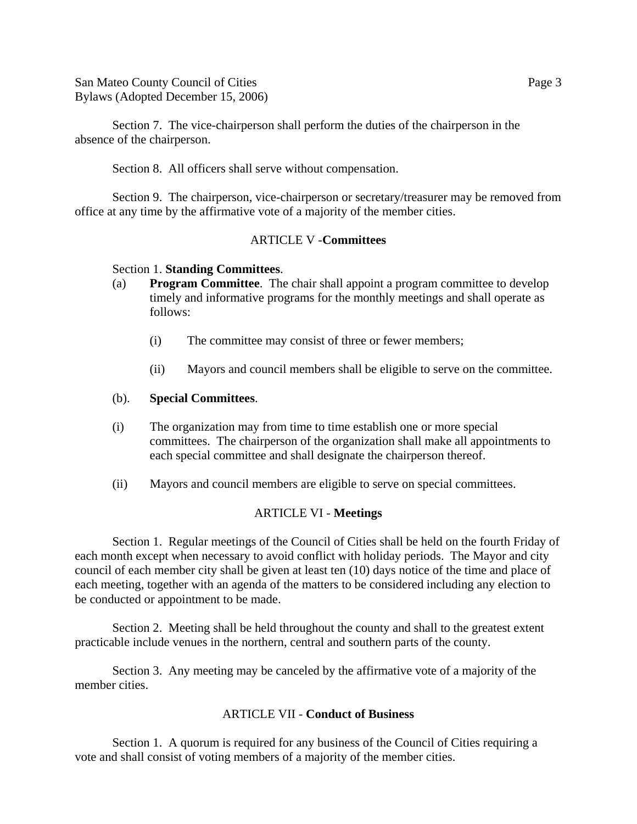San Mateo County Council of Cities **Page 3** Page 3 Bylaws (Adopted December 15, 2006)

 Section 7. The vice-chairperson shall perform the duties of the chairperson in the absence of the chairperson.

Section 8. All officers shall serve without compensation.

 Section 9. The chairperson, vice-chairperson or secretary/treasurer may be removed from office at any time by the affirmative vote of a majority of the member cities.

### ARTICLE V -**Committees**

#### Section 1. **Standing Committees**.

- (a) **Program Committee**. The chair shall appoint a program committee to develop timely and informative programs for the monthly meetings and shall operate as follows:
	- (i) The committee may consist of three or fewer members;
	- (ii) Mayors and council members shall be eligible to serve on the committee.

#### (b). **Special Committees**.

- (i) The organization may from time to time establish one or more special committees. The chairperson of the organization shall make all appointments to each special committee and shall designate the chairperson thereof.
- (ii) Mayors and council members are eligible to serve on special committees.

#### ARTICLE VI - **Meetings**

 Section 1. Regular meetings of the Council of Cities shall be held on the fourth Friday of each month except when necessary to avoid conflict with holiday periods. The Mayor and city council of each member city shall be given at least ten (10) days notice of the time and place of each meeting, together with an agenda of the matters to be considered including any election to be conducted or appointment to be made.

 Section 2. Meeting shall be held throughout the county and shall to the greatest extent practicable include venues in the northern, central and southern parts of the county.

 Section 3. Any meeting may be canceled by the affirmative vote of a majority of the member cities.

#### ARTICLE VII - **Conduct of Business**

 Section 1. A quorum is required for any business of the Council of Cities requiring a vote and shall consist of voting members of a majority of the member cities.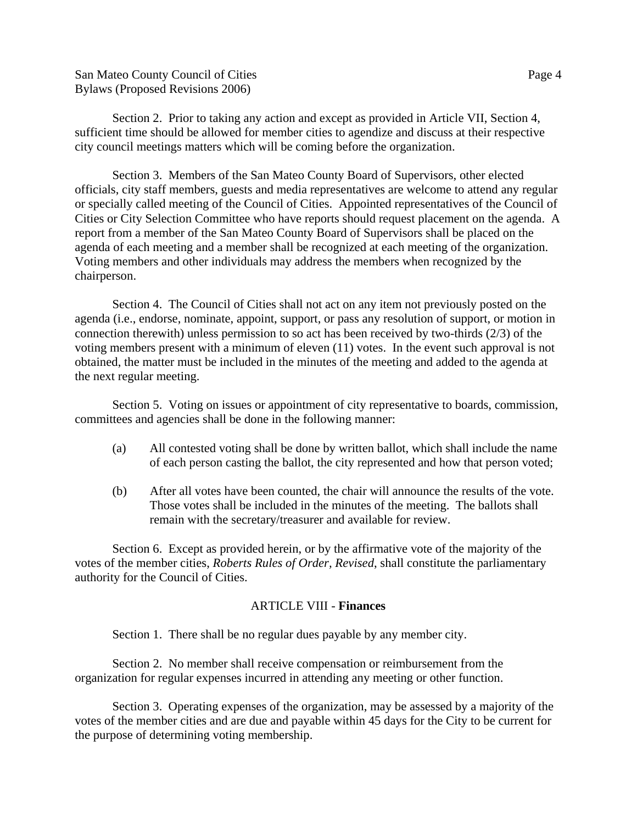San Mateo County Council of Cities Page 4 Bylaws (Proposed Revisions 2006)

 Section 2. Prior to taking any action and except as provided in Article VII, Section 4, sufficient time should be allowed for member cities to agendize and discuss at their respective city council meetings matters which will be coming before the organization.

 Section 3. Members of the San Mateo County Board of Supervisors, other elected officials, city staff members, guests and media representatives are welcome to attend any regular or specially called meeting of the Council of Cities. Appointed representatives of the Council of Cities or City Selection Committee who have reports should request placement on the agenda. A report from a member of the San Mateo County Board of Supervisors shall be placed on the agenda of each meeting and a member shall be recognized at each meeting of the organization. Voting members and other individuals may address the members when recognized by the chairperson.

 Section 4. The Council of Cities shall not act on any item not previously posted on the agenda (i.e., endorse, nominate, appoint, support, or pass any resolution of support, or motion in connection therewith) unless permission to so act has been received by two-thirds (2/3) of the voting members present with a minimum of eleven (11) votes. In the event such approval is not obtained, the matter must be included in the minutes of the meeting and added to the agenda at the next regular meeting.

 Section 5. Voting on issues or appointment of city representative to boards, commission, committees and agencies shall be done in the following manner:

- (a) All contested voting shall be done by written ballot, which shall include the name of each person casting the ballot, the city represented and how that person voted;
- (b) After all votes have been counted, the chair will announce the results of the vote. Those votes shall be included in the minutes of the meeting. The ballots shall remain with the secretary/treasurer and available for review.

 Section 6. Except as provided herein, or by the affirmative vote of the majority of the votes of the member cities, *Roberts Rules of Order, Revised*, shall constitute the parliamentary authority for the Council of Cities.

#### ARTICLE VIII - **Finances**

Section 1. There shall be no regular dues payable by any member city.

 Section 2. No member shall receive compensation or reimbursement from the organization for regular expenses incurred in attending any meeting or other function.

 Section 3. Operating expenses of the organization, may be assessed by a majority of the votes of the member cities and are due and payable within 45 days for the City to be current for the purpose of determining voting membership.